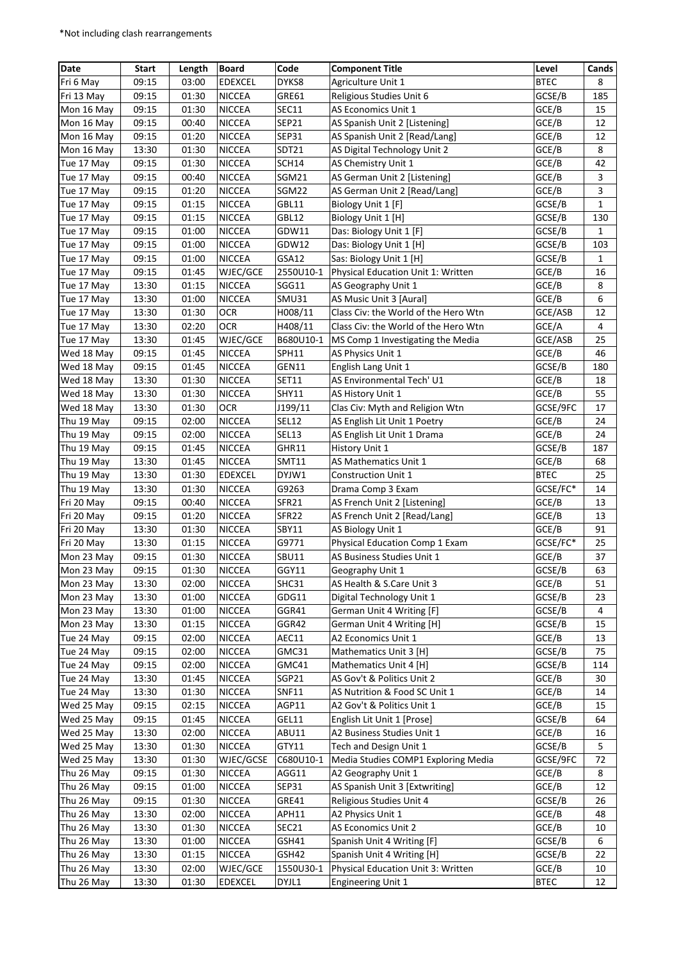| Date       | <b>Start</b> | Length | <b>Board</b>   | Code         | <b>Component Title</b>               | Level       | Cands        |
|------------|--------------|--------|----------------|--------------|--------------------------------------|-------------|--------------|
| Fri 6 May  | 09:15        | 03:00  | <b>EDEXCEL</b> | DYKS8        | Agriculture Unit 1                   | <b>BTEC</b> | 8            |
| Fri 13 May | 09:15        | 01:30  | <b>NICCEA</b>  | GRE61        | Religious Studies Unit 6             | GCSE/B      | 185          |
| Mon 16 May | 09:15        | 01:30  | <b>NICCEA</b>  | <b>SEC11</b> | AS Economics Unit 1                  | GCE/B       | 15           |
| Mon 16 May | 09:15        | 00:40  | <b>NICCEA</b>  | SEP21        |                                      | GCE/B       | 12           |
| Mon 16 May | 09:15        | 01:20  | <b>NICCEA</b>  | <b>SEP31</b> | AS Spanish Unit 2 [Listening]        | GCE/B       | 12           |
|            |              |        |                | SDT21        | AS Spanish Unit 2 [Read/Lang]        |             |              |
| Mon 16 May | 13:30        | 01:30  | <b>NICCEA</b>  |              | AS Digital Technology Unit 2         | GCE/B       | 8            |
| Tue 17 May | 09:15        | 01:30  | <b>NICCEA</b>  | SCH14        | AS Chemistry Unit 1                  | GCE/B       | 42           |
| Tue 17 May | 09:15        | 00:40  | <b>NICCEA</b>  | SGM21        | AS German Unit 2 [Listening]         | GCE/B       | 3            |
| Tue 17 May | 09:15        | 01:20  | <b>NICCEA</b>  | SGM22        | AS German Unit 2 [Read/Lang]         | GCE/B       | 3            |
| Tue 17 May | 09:15        | 01:15  | <b>NICCEA</b>  | GBL11        | Biology Unit 1 [F]                   | GCSE/B      | $\mathbf{1}$ |
| Tue 17 May | 09:15        | 01:15  | <b>NICCEA</b>  | GBL12        | Biology Unit 1 [H]                   | GCSE/B      | 130          |
| Tue 17 May | 09:15        | 01:00  | <b>NICCEA</b>  | GDW11        | Das: Biology Unit 1 [F]              | GCSE/B      | 1            |
| Tue 17 May | 09:15        | 01:00  | <b>NICCEA</b>  | GDW12        | Das: Biology Unit 1 [H]              | GCSE/B      | 103          |
| Tue 17 May | 09:15        | 01:00  | <b>NICCEA</b>  | GSA12        | Sas: Biology Unit 1 [H]              | GCSE/B      | 1            |
| Tue 17 May | 09:15        | 01:45  | WJEC/GCE       | 2550U10-1    | Physical Education Unit 1: Written   | GCE/B       | 16           |
| Tue 17 May | 13:30        | 01:15  | <b>NICCEA</b>  | SGG11        | AS Geography Unit 1                  | GCE/B       | 8            |
| Tue 17 May | 13:30        | 01:00  | <b>NICCEA</b>  | <b>SMU31</b> | AS Music Unit 3 [Aural]              | GCE/B       | 6            |
| Tue 17 May | 13:30        | 01:30  | OCR            | H008/11      | Class Civ: the World of the Hero Wtn | GCE/ASB     | 12           |
| Tue 17 May | 13:30        | 02:20  | <b>OCR</b>     | H408/11      | Class Civ: the World of the Hero Wtn | GCE/A       | 4            |
| Tue 17 May | 13:30        | 01:45  | WJEC/GCE       | B680U10-1    | MS Comp 1 Investigating the Media    | GCE/ASB     | 25           |
| Wed 18 May | 09:15        | 01:45  | <b>NICCEA</b>  | SPH11        | AS Physics Unit 1                    | GCE/B       | 46           |
| Wed 18 May | 09:15        | 01:45  | <b>NICCEA</b>  | GEN11        | English Lang Unit 1                  | GCSE/B      | 180          |
| Wed 18 May | 13:30        | 01:30  | <b>NICCEA</b>  | SET11        | AS Environmental Tech' U1            | GCE/B       | 18           |
| Wed 18 May | 13:30        | 01:30  | <b>NICCEA</b>  | <b>SHY11</b> | AS History Unit 1                    | GCE/B       | 55           |
| Wed 18 May | 13:30        | 01:30  | <b>OCR</b>     | J199/11      | Clas Civ: Myth and Religion Wtn      | GCSE/9FC    | 17           |
| Thu 19 May | 09:15        | 02:00  | <b>NICCEA</b>  | <b>SEL12</b> | AS English Lit Unit 1 Poetry         | GCE/B       | 24           |
| Thu 19 May | 09:15        | 02:00  | <b>NICCEA</b>  | <b>SEL13</b> | AS English Lit Unit 1 Drama          | GCE/B       | 24           |
| Thu 19 May | 09:15        | 01:45  | <b>NICCEA</b>  | GHR11        | History Unit 1                       | GCSE/B      | 187          |
| Thu 19 May | 13:30        | 01:45  | <b>NICCEA</b>  | <b>SMT11</b> | AS Mathematics Unit 1                | GCE/B       | 68           |
| Thu 19 May | 13:30        | 01:30  | <b>EDEXCEL</b> | DYJW1        | <b>Construction Unit 1</b>           | <b>BTEC</b> | 25           |
| Thu 19 May | 13:30        | 01:30  | <b>NICCEA</b>  | G9263        | Drama Comp 3 Exam                    | GCSE/FC*    | 14           |
| Fri 20 May | 09:15        | 00:40  | <b>NICCEA</b>  | SFR21        | AS French Unit 2 [Listening]         | GCE/B       | 13           |
| Fri 20 May | 09:15        | 01:20  | <b>NICCEA</b>  | SFR22        | AS French Unit 2 [Read/Lang]         | GCE/B       | 13           |
| Fri 20 May | 13:30        | 01:30  | <b>NICCEA</b>  | SBY11        | AS Biology Unit 1                    | GCE/B       | 91           |
| Fri 20 May | 13:30        | 01:15  | <b>NICCEA</b>  | G9771        | Physical Education Comp 1 Exam       | GCSE/FC*    | 25           |
| Mon 23 May | 09:15        | 01:30  | <b>NICCEA</b>  | <b>SBU11</b> | AS Business Studies Unit 1           | GCE/B       | 37           |
| Mon 23 May | 09:15        | 01:30  | NICCEA         | GGY11        | Geography Unit 1                     | GCSE/B      | 63           |
| Mon 23 May | 13:30        | 02:00  | <b>NICCEA</b>  | SHC31        | AS Health & S.Care Unit 3            | GCE/B       | 51           |
| Mon 23 May | 13:30        | 01:00  | <b>NICCEA</b>  | GDG11        | Digital Technology Unit 1            | GCSE/B      | 23           |
| Mon 23 May | 13:30        | 01:00  | <b>NICCEA</b>  | GGR41        | German Unit 4 Writing [F]            | GCSE/B      | 4            |
| Mon 23 May | 13:30        | 01:15  | <b>NICCEA</b>  | GGR42        | German Unit 4 Writing [H]            | GCSE/B      | 15           |
| Tue 24 May | 09:15        | 02:00  | <b>NICCEA</b>  | AEC11        | A2 Economics Unit 1                  | GCE/B       | 13           |
| Tue 24 May | 09:15        | 02:00  | <b>NICCEA</b>  | GMC31        | Mathematics Unit 3 [H]               | GCSE/B      | 75           |
| Tue 24 May | 09:15        | 02:00  | <b>NICCEA</b>  | GMC41        | Mathematics Unit 4 [H]               | GCSE/B      | 114          |
| Tue 24 May | 13:30        | 01:45  | <b>NICCEA</b>  | SGP21        | AS Gov't & Politics Unit 2           | GCE/B       | 30           |
| Tue 24 May | 13:30        | 01:30  | <b>NICCEA</b>  | <b>SNF11</b> | AS Nutrition & Food SC Unit 1        | GCE/B       | 14           |
| Wed 25 May | 09:15        | 02:15  | <b>NICCEA</b>  | AGP11        | A2 Gov't & Politics Unit 1           | GCE/B       | 15           |
| Wed 25 May | 09:15        | 01:45  | <b>NICCEA</b>  | GEL11        | English Lit Unit 1 [Prose]           | GCSE/B      | 64           |
| Wed 25 May | 13:30        | 02:00  | NICCEA         | ABU11        | A2 Business Studies Unit 1           | GCE/B       | 16           |
| Wed 25 May | 13:30        | 01:30  | NICCEA         | GTY11        | Tech and Design Unit 1               | GCSE/B      | 5            |
| Wed 25 May | 13:30        | 01:30  | WJEC/GCSE      | C680U10-1    | Media Studies COMP1 Exploring Media  | GCSE/9FC    | 72           |
| Thu 26 May | 09:15        | 01:30  | NICCEA         | AGG11        | A2 Geography Unit 1                  | GCE/B       | 8            |
| Thu 26 May | 09:15        | 01:00  | <b>NICCEA</b>  | SEP31        | AS Spanish Unit 3 [Extwriting]       | GCE/B       | 12           |
| Thu 26 May | 09:15        | 01:30  | <b>NICCEA</b>  | GRE41        | Religious Studies Unit 4             | GCSE/B      | 26           |
| Thu 26 May | 13:30        | 02:00  | <b>NICCEA</b>  | APH11        | A2 Physics Unit 1                    | GCE/B       | 48           |
| Thu 26 May | 13:30        | 01:30  | NICCEA         | SEC21        | AS Economics Unit 2                  | GCE/B       | 10           |
| Thu 26 May | 13:30        | 01:00  | <b>NICCEA</b>  | GSH41        | Spanish Unit 4 Writing [F]           | GCSE/B      | 6            |
| Thu 26 May | 13:30        | 01:15  | <b>NICCEA</b>  | GSH42        | Spanish Unit 4 Writing [H]           | GCSE/B      | 22           |
|            |              |        |                |              |                                      |             |              |
| Thu 26 May | 13:30        | 02:00  | WJEC/GCE       | 1550U30-1    | Physical Education Unit 3: Written   | GCE/B       | 10           |
| Thu 26 May | 13:30        | 01:30  | EDEXCEL        | DYJL1        | <b>Engineering Unit 1</b>            | <b>BTEC</b> | 12           |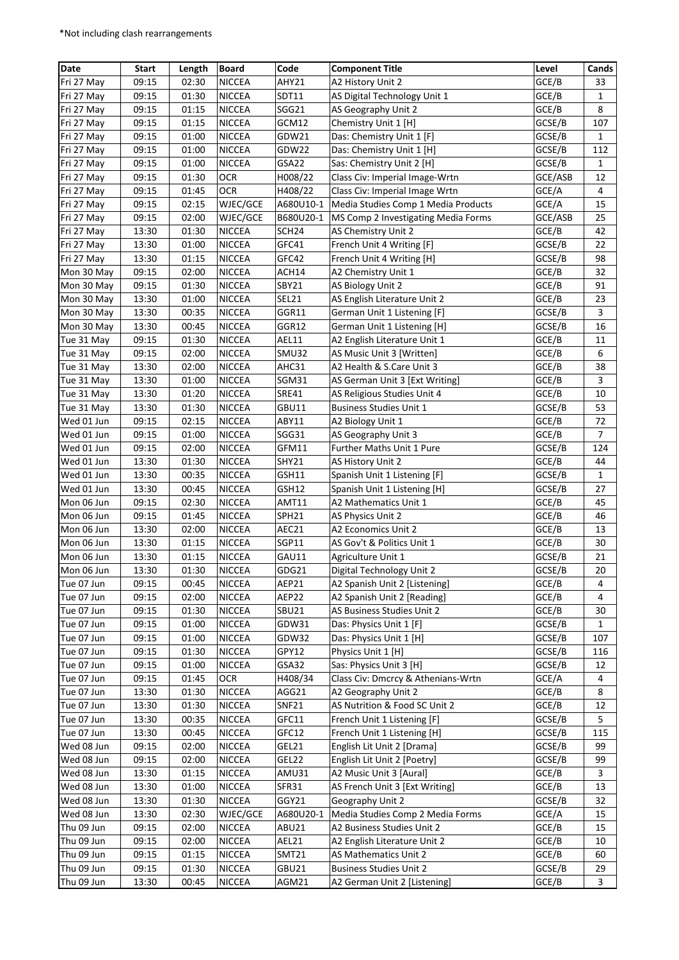| Date       | <b>Start</b> | Length | <b>Board</b>  | Code              | <b>Component Title</b>                                 | Level   | Cands          |
|------------|--------------|--------|---------------|-------------------|--------------------------------------------------------|---------|----------------|
| Fri 27 May | 09:15        | 02:30  | <b>NICCEA</b> | AHY21             | A2 History Unit 2                                      | GCE/B   | 33             |
| Fri 27 May | 09:15        | 01:30  | <b>NICCEA</b> | SDT11             | AS Digital Technology Unit 1                           | GCE/B   | $\mathbf{1}$   |
| Fri 27 May | 09:15        | 01:15  | <b>NICCEA</b> | SGG21             | AS Geography Unit 2                                    | GCE/B   | 8              |
| Fri 27 May | 09:15        | 01:15  | <b>NICCEA</b> | GCM12             | Chemistry Unit 1 [H]                                   | GCSE/B  | 107            |
| Fri 27 May | 09:15        | 01:00  | <b>NICCEA</b> | GDW21             |                                                        | GCSE/B  | 1              |
| Fri 27 May | 09:15        | 01:00  | <b>NICCEA</b> | GDW22             | Das: Chemistry Unit 1 [F]<br>Das: Chemistry Unit 1 [H] | GCSE/B  | 112            |
|            |              |        |               | GSA22             |                                                        |         |                |
| Fri 27 May | 09:15        | 01:00  | <b>NICCEA</b> |                   | Sas: Chemistry Unit 2 [H]                              | GCSE/B  | 1              |
| Fri 27 May | 09:15        | 01:30  | <b>OCR</b>    | H008/22           | Class Civ: Imperial Image-Wrtn                         | GCE/ASB | 12             |
| Fri 27 May | 09:15        | 01:45  | <b>OCR</b>    | H408/22           | Class Civ: Imperial Image Wrtn                         | GCE/A   | 4              |
| Fri 27 May | 09:15        | 02:15  | WJEC/GCE      | A680U10-1         | Media Studies Comp 1 Media Products                    | GCE/A   | 15             |
| Fri 27 May | 09:15        | 02:00  | WJEC/GCE      | B680U20-1         | MS Comp 2 Investigating Media Forms                    | GCE/ASB | 25             |
| Fri 27 May | 13:30        | 01:30  | <b>NICCEA</b> | SCH <sub>24</sub> | AS Chemistry Unit 2                                    | GCE/B   | 42             |
| Fri 27 May | 13:30        | 01:00  | <b>NICCEA</b> | GFC41             | French Unit 4 Writing [F]                              | GCSE/B  | 22             |
| Fri 27 May | 13:30        | 01:15  | <b>NICCEA</b> | GFC42             | French Unit 4 Writing [H]                              | GCSE/B  | 98             |
| Mon 30 May | 09:15        | 02:00  | <b>NICCEA</b> | ACH14             | A2 Chemistry Unit 1                                    | GCE/B   | 32             |
| Mon 30 May | 09:15        | 01:30  | <b>NICCEA</b> | SBY21             | AS Biology Unit 2                                      | GCE/B   | 91             |
| Mon 30 May | 13:30        | 01:00  | <b>NICCEA</b> | SEL21             | AS English Literature Unit 2                           | GCE/B   | 23             |
| Mon 30 May | 13:30        | 00:35  | <b>NICCEA</b> | GGR11             | German Unit 1 Listening [F]                            | GCSE/B  | 3              |
| Mon 30 May | 13:30        | 00:45  | <b>NICCEA</b> | GGR12             | German Unit 1 Listening [H]                            | GCSE/B  | 16             |
| Tue 31 May | 09:15        | 01:30  | <b>NICCEA</b> | AEL11             | A2 English Literature Unit 1                           | GCE/B   | 11             |
| Tue 31 May | 09:15        | 02:00  | <b>NICCEA</b> | SMU32             | AS Music Unit 3 [Written]                              | GCE/B   | 6              |
| Tue 31 May | 13:30        | 02:00  | <b>NICCEA</b> | AHC31             | A2 Health & S.Care Unit 3                              | GCE/B   | 38             |
| Tue 31 May | 13:30        | 01:00  | <b>NICCEA</b> | SGM31             | AS German Unit 3 [Ext Writing]                         | GCE/B   | 3              |
| Tue 31 May | 13:30        | 01:20  | <b>NICCEA</b> | <b>SRE41</b>      | AS Religious Studies Unit 4                            | GCE/B   | 10             |
| Tue 31 May | 13:30        | 01:30  | <b>NICCEA</b> | GBU11             | <b>Business Studies Unit 1</b>                         | GCSE/B  | 53             |
| Wed 01 Jun | 09:15        | 02:15  | <b>NICCEA</b> | ABY11             | A2 Biology Unit 1                                      | GCE/B   | 72             |
| Wed 01 Jun | 09:15        | 01:00  | <b>NICCEA</b> | SGG31             | AS Geography Unit 3                                    | GCE/B   | $\overline{7}$ |
| Wed 01 Jun | 09:15        | 02:00  | <b>NICCEA</b> | GFM11             | Further Maths Unit 1 Pure                              | GCSE/B  | 124            |
| Wed 01 Jun | 13:30        | 01:30  | <b>NICCEA</b> | <b>SHY21</b>      | AS History Unit 2                                      | GCE/B   | 44             |
| Wed 01 Jun | 13:30        | 00:35  | <b>NICCEA</b> | GSH11             | Spanish Unit 1 Listening [F]                           | GCSE/B  | $\mathbf{1}$   |
| Wed 01 Jun | 13:30        | 00:45  | <b>NICCEA</b> | GSH12             | Spanish Unit 1 Listening [H]                           | GCSE/B  | 27             |
| Mon 06 Jun | 09:15        | 02:30  | <b>NICCEA</b> | AMT11             | A2 Mathematics Unit 1                                  | GCE/B   | 45             |
| Mon 06 Jun | 09:15        | 01:45  | <b>NICCEA</b> | SPH21             | AS Physics Unit 2                                      | GCE/B   | 46             |
| Mon 06 Jun | 13:30        | 02:00  | <b>NICCEA</b> | AEC21             | A2 Economics Unit 2                                    | GCE/B   | 13             |
| Mon 06 Jun | 13:30        | 01:15  | <b>NICCEA</b> | SGP11             | AS Gov't & Politics Unit 1                             | GCE/B   | 30             |
| Mon 06 Jun | 13:30        | 01:15  | <b>NICCEA</b> | GAU11             | Agriculture Unit 1                                     | GCSE/B  | 21             |
| Mon 06 Jun | 13:30        | 01:30  | <b>NICCEA</b> | GDG21             | Digital Technology Unit 2                              | GCSE/B  | 20             |
| Tue 07 Jun | 09:15        | 00:45  | <b>NICCEA</b> | AEP21             | A2 Spanish Unit 2 [Listening]                          | GCE/B   | 4              |
| Tue 07 Jun | 09:15        | 02:00  | <b>NICCEA</b> | AEP22             | A2 Spanish Unit 2 [Reading]                            | GCE/B   | 4              |
| Tue 07 Jun | 09:15        | 01:30  | <b>NICCEA</b> | SBU21             | AS Business Studies Unit 2                             | GCE/B   | 30             |
| Tue 07 Jun | 09:15        | 01:00  | <b>NICCEA</b> | GDW31             | Das: Physics Unit 1 [F]                                | GCSE/B  | $\mathbf{1}$   |
| Tue 07 Jun | 09:15        | 01:00  | <b>NICCEA</b> | GDW32             | Das: Physics Unit 1 [H]                                | GCSE/B  | 107            |
| Tue 07 Jun | 09:15        | 01:30  | NICCEA        | GPY12             | Physics Unit 1 [H]                                     | GCSE/B  | 116            |
| Tue 07 Jun | 09:15        | 01:00  | <b>NICCEA</b> | GSA32             | Sas: Physics Unit 3 [H]                                | GCSE/B  | 12             |
| Tue 07 Jun | 09:15        | 01:45  | <b>OCR</b>    | H408/34           | Class Civ: Dmcrcy & Athenians-Wrtn                     | GCE/A   | 4              |
| Tue 07 Jun | 13:30        | 01:30  | <b>NICCEA</b> | AGG21             | A2 Geography Unit 2                                    | GCE/B   | 8              |
| Tue 07 Jun | 13:30        | 01:30  | NICCEA        | <b>SNF21</b>      | AS Nutrition & Food SC Unit 2                          | GCE/B   | 12             |
| Tue 07 Jun | 13:30        | 00:35  | NICCEA        | GFC11             | French Unit 1 Listening [F]                            | GCSE/B  | 5              |
| Tue 07 Jun | 13:30        | 00:45  | NICCEA        | GFC12             | French Unit 1 Listening [H]                            | GCSE/B  | 115            |
| Wed 08 Jun | 09:15        | 02:00  | <b>NICCEA</b> | GEL21             | English Lit Unit 2 [Drama]                             | GCSE/B  | 99             |
| Wed 08 Jun | 09:15        | 02:00  | <b>NICCEA</b> | GEL22             | English Lit Unit 2 [Poetry]                            | GCSE/B  | 99             |
| Wed 08 Jun | 13:30        | 01:15  | <b>NICCEA</b> | AMU31             | A2 Music Unit 3 [Aural]                                | GCE/B   | 3              |
| Wed 08 Jun | 13:30        | 01:00  | <b>NICCEA</b> | SFR31             | AS French Unit 3 [Ext Writing]                         | GCE/B   | 13             |
| Wed 08 Jun | 13:30        | 01:30  | <b>NICCEA</b> | GGY21             | Geography Unit 2                                       | GCSE/B  | 32             |
| Wed 08 Jun | 13:30        | 02:30  | WJEC/GCE      | A680U20-1         | Media Studies Comp 2 Media Forms                       | GCE/A   | 15             |
| Thu 09 Jun | 09:15        | 02:00  | <b>NICCEA</b> | ABU21             | A2 Business Studies Unit 2                             | GCE/B   | 15             |
| Thu 09 Jun | 09:15        | 02:00  | NICCEA        | AEL21             | A2 English Literature Unit 2                           | GCE/B   | 10             |
| Thu 09 Jun | 09:15        | 01:15  | NICCEA        | <b>SMT21</b>      | AS Mathematics Unit 2                                  | GCE/B   | 60             |
| Thu 09 Jun | 09:15        | 01:30  | <b>NICCEA</b> | GBU21             | <b>Business Studies Unit 2</b>                         | GCSE/B  | 29             |
|            |              |        |               |                   |                                                        |         | 3              |
| Thu 09 Jun | 13:30        | 00:45  | <b>NICCEA</b> | AGM21             | A2 German Unit 2 [Listening]                           | GCE/B   |                |